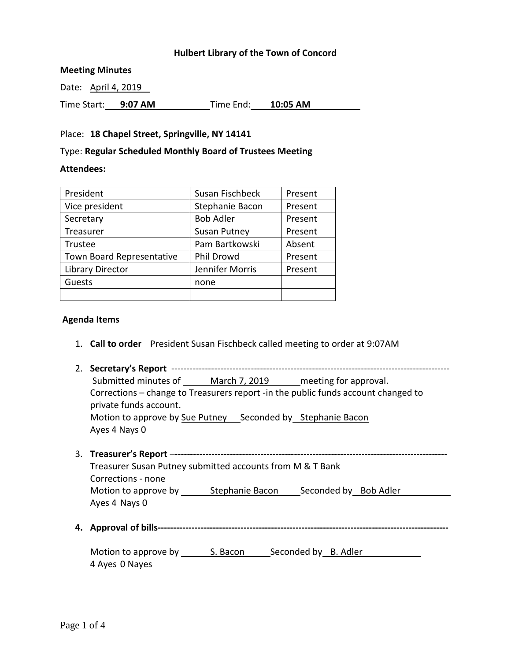## **Hulbert Library of the Town of Concord**

### **Meeting Minutes**

| Date: April 4, 2019 |         |           |          |  |
|---------------------|---------|-----------|----------|--|
| Time Start:         | 9:07 AM | Time End: | 10:05 AM |  |

### Place: **18 Chapel Street, Springville, NY 14141**

### Type: **Regular Scheduled Monthly Board of Trustees Meeting**

### **Attendees:**

| President                 | Susan Fischbeck     | Present |
|---------------------------|---------------------|---------|
| Vice president            | Stephanie Bacon     | Present |
| Secretary                 | <b>Bob Adler</b>    | Present |
| Treasurer                 | <b>Susan Putney</b> | Present |
| Trustee                   | Pam Bartkowski      | Absent  |
| Town Board Representative | Phil Drowd          | Present |
| Library Director          | Jennifer Morris     | Present |
| Guests                    | none                |         |
|                           |                     |         |

### **Agenda Items**

- 1. **Call to order** President Susan Fischbeck called meeting to order at 9:07AM
- 2. **Secretary's Report** ------------------------------------------------------------------------------------------- Submitted minutes of March 7, 2019 meeting for approval. Corrections – change to Treasurers report -in the public funds account changed to private funds account. Motion to approve by Sue Putney Seconded by Stephanie Bacon Ayes 4 Nays 0 3. **Treasurer's Report** –-----------------------------------------------------------------------------------------
- Treasurer Susan Putney submitted accounts from M & T Bank Corrections - none Motion to approve by \_\_\_\_\_\_\_\_ Stephanie Bacon \_\_\_\_\_\_\_ Seconded by Bob Adler Ayes 4 Nays 0
- **4. Approval of bills-----------------------------------------------------------------------------------------------**

Motion to approve by S. Bacon Seconded by B. Adler 4 Ayes 0 Nayes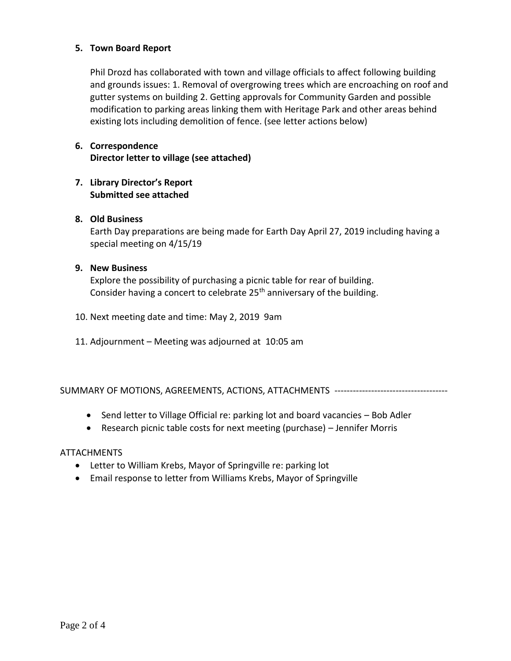## **5. Town Board Report**

Phil Drozd has collaborated with town and village officials to affect following building and grounds issues: 1. Removal of overgrowing trees which are encroaching on roof and gutter systems on building 2. Getting approvals for Community Garden and possible modification to parking areas linking them with Heritage Park and other areas behind existing lots including demolition of fence. (see letter actions below)

# **6. Correspondence Director letter to village (see attached)**

# **7. Library Director's Report Submitted see attached**

# **8. Old Business**

Earth Day preparations are being made for Earth Day April 27, 2019 including having a special meeting on 4/15/19

## **9. New Business**

Explore the possibility of purchasing a picnic table for rear of building. Consider having a concert to celebrate 25<sup>th</sup> anniversary of the building.

- 10. Next meeting date and time: May 2, 2019 9am
- 11. Adjournment Meeting was adjourned at 10:05 am

SUMMARY OF MOTIONS, AGREEMENTS, ACTIONS, ATTACHMENTS -------------------------------------

- Send letter to Village Official re: parking lot and board vacancies Bob Adler
- Research picnic table costs for next meeting (purchase) Jennifer Morris

## **ATTACHMENTS**

- Letter to William Krebs, Mayor of Springville re: parking lot
- Email response to letter from Williams Krebs, Mayor of Springville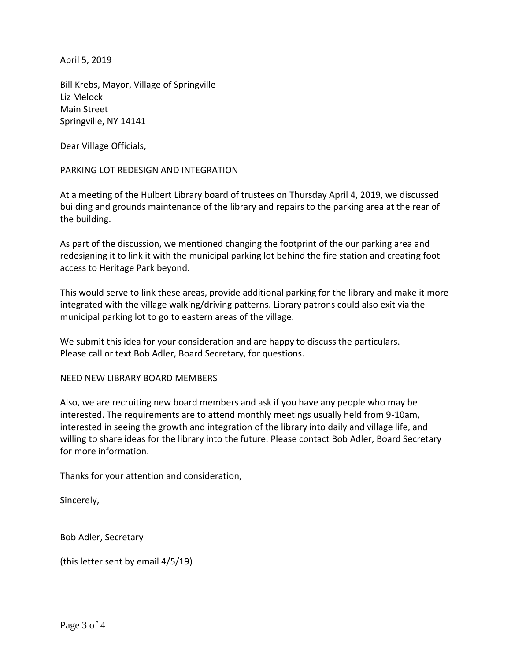April 5, 2019

Bill Krebs, Mayor, Village of Springville Liz Melock Main Street Springville, NY 14141

Dear Village Officials,

PARKING LOT REDESIGN AND INTEGRATION

At a meeting of the Hulbert Library board of trustees on Thursday April 4, 2019, we discussed building and grounds maintenance of the library and repairs to the parking area at the rear of the building.

As part of the discussion, we mentioned changing the footprint of the our parking area and redesigning it to link it with the municipal parking lot behind the fire station and creating foot access to Heritage Park beyond.

This would serve to link these areas, provide additional parking for the library and make it more integrated with the village walking/driving patterns. Library patrons could also exit via the municipal parking lot to go to eastern areas of the village.

We submit this idea for your consideration and are happy to discuss the particulars. Please call or text Bob Adler, Board Secretary, for questions.

## NEED NEW LIBRARY BOARD MEMBERS

Also, we are recruiting new board members and ask if you have any people who may be interested. The requirements are to attend monthly meetings usually held from 9-10am, interested in seeing the growth and integration of the library into daily and village life, and willing to share ideas for the library into the future. Please contact Bob Adler, Board Secretary for more information.

Thanks for your attention and consideration,

Sincerely,

Bob Adler, Secretary

(this letter sent by email 4/5/19)